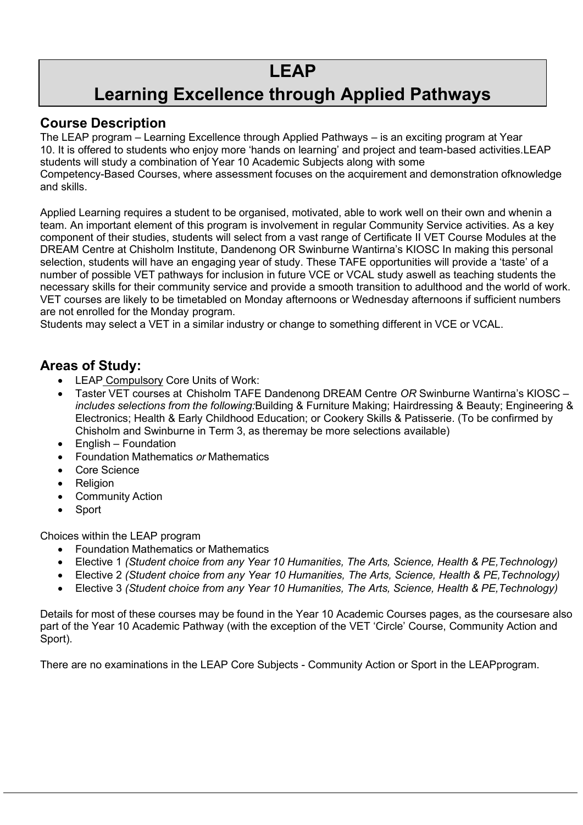# **Learning Excellence through Applied Pathways**

### **Course Description**

The LEAP program – Learning Excellence through Applied Pathways – is an exciting program at Year 10. It is offered to students who enjoy more 'hands on learning' and project and team-based activities.LEAP students will study a combination of Year 10 Academic Subjects along with some Competency-Based Courses, where assessment focuses on the acquirement and demonstration ofknowledge and skills.

Applied Learning requires a student to be organised, motivated, able to work well on their own and whenin a team. An important element of this program is involvement in regular Community Service activities. As a key component of their studies, students will select from a vast range of Certificate II VET Course Modules at the DREAM Centre at Chisholm Institute, Dandenong OR Swinburne Wantirna's KIOSC In making this personal selection, students will have an engaging year of study. These TAFE opportunities will provide a 'taste' of a number of possible VET pathways for inclusion in future VCE or VCAL study aswell as teaching students the necessary skills for their community service and provide a smooth transition to adulthood and the world of work. VET courses are likely to be timetabled on Monday afternoons or Wednesday afternoons if sufficient numbers are not enrolled for the Monday program.

Students may select a VET in a similar industry or change to something different in VCE or VCAL.

### **Areas of Study:**

- LEAP Compulsory Core Units of Work:
- Taster VET courses at Chisholm TAFE Dandenong DREAM Centre *OR* Swinburne Wantirna's KIOSC *includes selections from the following:*Building & Furniture Making; Hairdressing & Beauty; Engineering & Electronics; Health & Early Childhood Education; or Cookery Skills & Patisserie. (To be confirmed by Chisholm and Swinburne in Term 3, as theremay be more selections available)
- English Foundation
- Foundation Mathematics *or* Mathematics
- Core Science
- Religion
- Community Action
- Sport

Choices within the LEAP program

- Foundation Mathematics or Mathematics
- Elective 1 *(Student choice from any Year 10 Humanities, The Arts, Science, Health & PE,Technology)*
- Elective 2 *(Student choice from any Year 10 Humanities, The Arts, Science, Health & PE,Technology)*
- Elective 3 *(Student choice from any Year 10 Humanities, The Arts, Science, Health & PE,Technology)*

Details for most of these courses may be found in the Year 10 Academic Courses pages, as the coursesare also part of the Year 10 Academic Pathway (with the exception of the VET 'Circle' Course, Community Action and Sport).

There are no examinations in the LEAP Core Subjects - Community Action or Sport in the LEAPprogram.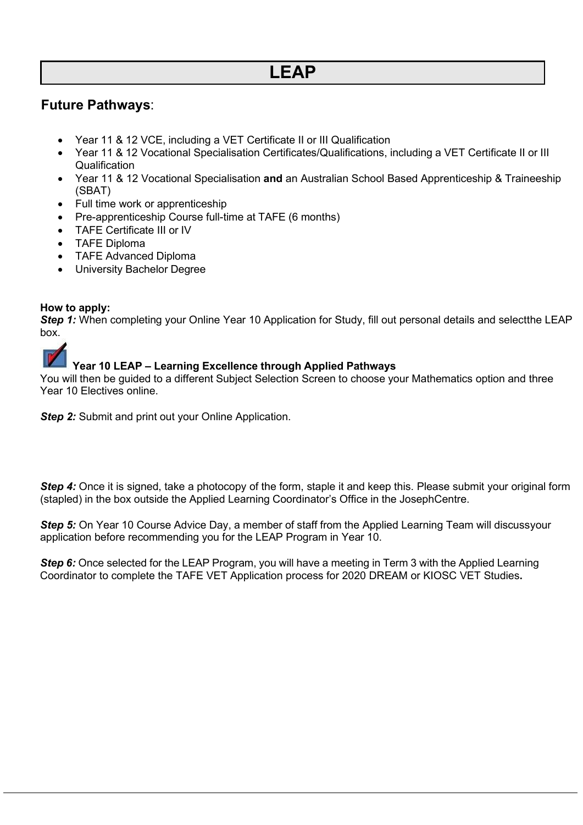### **Future Pathways**:

- Year 11 & 12 VCE, including a VET Certificate II or III Qualification
- Year 11 & 12 Vocational Specialisation Certificates/Qualifications, including a VET Certificate II or III **Qualification**
- Year 11 & 12 Vocational Specialisation **and** an Australian School Based Apprenticeship & Traineeship (SBAT)
- Full time work or apprenticeship
- Pre-apprenticeship Course full-time at TAFE (6 months)
- TAFE Certificate III or IV
- TAFE Diploma
- TAFE Advanced Diploma
- University Bachelor Degree

#### **How to apply:**

*Step 1:* When completing your Online Year 10 Application for Study, fill out personal details and selectthe LEAP box.



#### **Year 10 LEAP – Learning Excellence through Applied Pathways**

You will then be guided to a different Subject Selection Screen to choose your Mathematics option and three Year 10 Electives online.

**Step 2:** Submit and print out your Online Application.

**Step 4:** Once it is signed, take a photocopy of the form, staple it and keep this. Please submit your original form (stapled) in the box outside the Applied Learning Coordinator's Office in the JosephCentre.

*Step 5:* On Year 10 Course Advice Day, a member of staff from the Applied Learning Team will discussyour application before recommending you for the LEAP Program in Year 10.

**Step 6:** Once selected for the LEAP Program, you will have a meeting in Term 3 with the Applied Learning Coordinator to complete the TAFE VET Application process for 2020 DREAM or KIOSC VET Studies**.**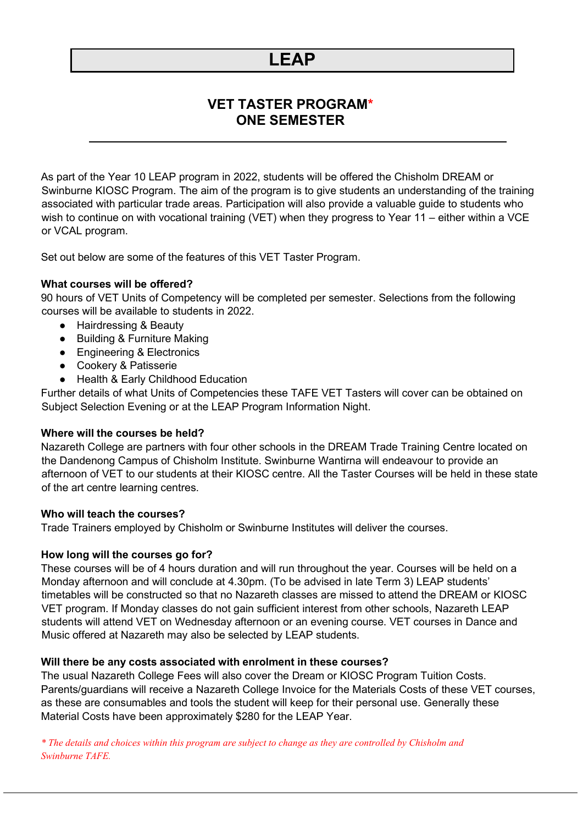### **VET TASTER PROGRAM\* ONE SEMESTER**

As part of the Year 10 LEAP program in 2022, students will be offered the Chisholm DREAM or Swinburne KIOSC Program. The aim of the program is to give students an understanding of the training associated with particular trade areas. Participation will also provide a valuable guide to students who wish to continue on with vocational training (VET) when they progress to Year 11 – either within a VCE or VCAL program.

Set out below are some of the features of this VET Taster Program.

#### **What courses will be offered?**

90 hours of VET Units of Competency will be completed per semester. Selections from the following courses will be available to students in 2022.

- Hairdressing & Beauty
- Building & Furniture Making
- Engineering & Electronics
- Cookery & Patisserie
- Health & Early Childhood Education

Further details of what Units of Competencies these TAFE VET Tasters will cover can be obtained on Subject Selection Evening or at the LEAP Program Information Night.

#### **Where will the courses be held?**

Nazareth College are partners with four other schools in the DREAM Trade Training Centre located on the Dandenong Campus of Chisholm Institute. Swinburne Wantirna will endeavour to provide an afternoon of VET to our students at their KIOSC centre. All the Taster Courses will be held in these state of the art centre learning centres.

#### **Who will teach the courses?**

Trade Trainers employed by Chisholm or Swinburne Institutes will deliver the courses.

#### **How long will the courses go for?**

These courses will be of 4 hours duration and will run throughout the year. Courses will be held on a Monday afternoon and will conclude at 4.30pm. (To be advised in late Term 3) LEAP students' timetables will be constructed so that no Nazareth classes are missed to attend the DREAM or KIOSC VET program. If Monday classes do not gain sufficient interest from other schools, Nazareth LEAP students will attend VET on Wednesday afternoon or an evening course. VET courses in Dance and Music offered at Nazareth may also be selected by LEAP students.

#### **Will there be any costs associated with enrolment in these courses?**

The usual Nazareth College Fees will also cover the Dream or KIOSC Program Tuition Costs. Parents/guardians will receive a Nazareth College Invoice for the Materials Costs of these VET courses, as these are consumables and tools the student will keep for their personal use. Generally these Material Costs have been approximately \$280 for the LEAP Year.

*\* The details and choices within this program are subject to change as they are controlled by Chisholm and Swinburne TAFE.*